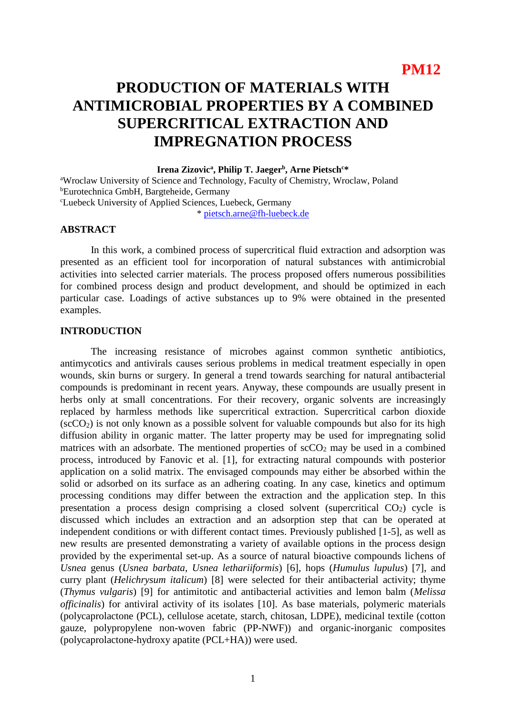# **PRODUCTION OF MATERIALS WITH ANTIMICROBIAL PROPERTIES BY A COMBINED SUPERCRITICAL EXTRACTION AND IMPREGNATION PROCESS**

### **Irena Zizovic<sup>a</sup> , Philip T. Jaeger<sup>b</sup> , Arne Pietsch<sup>c</sup>\***

<sup>a</sup>Wroclaw University of Science and Technology, Faculty of Chemistry, Wroclaw, Poland <sup>b</sup>Eurotechnica GmbH, Bargteheide, Germany <sup>c</sup>Luebeck University of Applied Sciences, Luebeck, Germany

\* [pietsch.arne@fh-luebeck.de](mailto:pietsch.arne@fh-luebeck.de)

## **ABSTRACT**

In this work, a combined process of supercritical fluid extraction and adsorption was presented as an efficient tool for incorporation of natural substances with antimicrobial activities into selected carrier materials. The process proposed offers numerous possibilities for combined process design and product development, and should be optimized in each particular case. Loadings of active substances up to 9% were obtained in the presented examples.

## **INTRODUCTION**

The increasing resistance of microbes against common synthetic antibiotics, antimycotics and antivirals causes serious problems in medical treatment especially in open wounds, skin burns or surgery. In general a trend towards searching for natural antibacterial compounds is predominant in recent years. Anyway, these compounds are usually present in herbs only at small concentrations. For their recovery, organic solvents are increasingly replaced by harmless methods like supercritical extraction. Supercritical carbon dioxide  $(\text{scCO}_2)$  is not only known as a possible solvent for valuable compounds but also for its high diffusion ability in organic matter. The latter property may be used for impregnating solid matrices with an adsorbate. The mentioned properties of  $\sec O_2$  may be used in a combined process, introduced by Fanovic et al. [1], for extracting natural compounds with posterior application on a solid matrix. The envisaged compounds may either be absorbed within the solid or adsorbed on its surface as an adhering coating. In any case, kinetics and optimum processing conditions may differ between the extraction and the application step. In this presentation a process design comprising a closed solvent (supercritical  $CO<sub>2</sub>$ ) cycle is discussed which includes an extraction and an adsorption step that can be operated at independent conditions or with different contact times. Previously published [1-5], as well as new results are presented demonstrating a variety of available options in the process design provided by the experimental set-up. As a source of natural bioactive compounds lichens of *Usnea* genus (*Usnea barbata*, *Usnea lethariiformis*) [6], hops (*Humulus lupulus*) [7], and curry plant (*Helichrysum italicum*) [8] were selected for their antibacterial activity; thyme (*Thymus vulgaris*) [9] for antimitotic and antibacterial activities and lemon balm (*Melissa officinalis*) for antiviral activity of its isolates [10]. As base materials, polymeric materials (polycaprolactone (PCL), cellulose acetate, starch, chitosan, LDPE), medicinal textile (cotton gauze, polypropylene non-woven fabric (PP-NWF)) and organic-inorganic composites (polycaprolactone-hydroxy apatite (PCL+HA)) were used.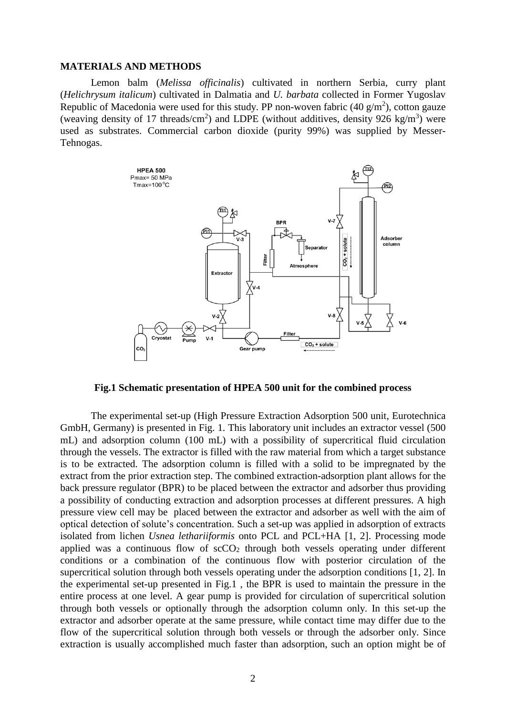#### **MATERIALS AND METHODS**

Lemon balm (*Melissa officinalis*) cultivated in northern Serbia, curry plant (*Helichrysum italicum*) cultivated in Dalmatia and *U. barbata* collected in Former Yugoslav Republic of Macedonia were used for this study. PP non-woven fabric (40  $g/m<sup>2</sup>$ ), cotton gauze (weaving density of 17 threads/cm<sup>2</sup>) and LDPE (without additives, density 926 kg/m<sup>3</sup>) were used as substrates. Commercial carbon dioxide (purity 99%) was supplied by Messer-Tehnogas.



**Fig.1 Schematic presentation of HPEA 500 unit for the combined process**

The experimental set-up (High Pressure Extraction Adsorption 500 unit, Eurotechnica GmbH, Germany) is presented in Fig. 1. This laboratory unit includes an extractor vessel (500 mL) and adsorption column (100 mL) with a possibility of supercritical fluid circulation through the vessels. The extractor is filled with the raw material from which a target substance is to be extracted. The adsorption column is filled with a solid to be impregnated by the extract from the prior extraction step. The combined extraction-adsorption plant allows for the back pressure regulator (BPR) to be placed between the extractor and adsorber thus providing a possibility of conducting extraction and adsorption processes at different pressures. A high pressure view cell may be placed between the extractor and adsorber as well with the aim of optical detection of solute's concentration. Such a set-up was applied in adsorption of extracts isolated from lichen *Usnea lethariiformis* onto PCL and PCL+HA [1, 2]. Processing mode applied was a continuous flow of  $\sec O_2$  through both vessels operating under different conditions or a combination of the continuous flow with posterior circulation of the supercritical solution through both vessels operating under the adsorption conditions [1, 2]. In the experimental set-up presented in Fig.1 , the BPR is used to maintain the pressure in the entire process at one level. A gear pump is provided for circulation of supercritical solution through both vessels or optionally through the adsorption column only. In this set-up the extractor and adsorber operate at the same pressure, while contact time may differ due to the flow of the supercritical solution through both vessels or through the adsorber only. Since extraction is usually accomplished much faster than adsorption, such an option might be of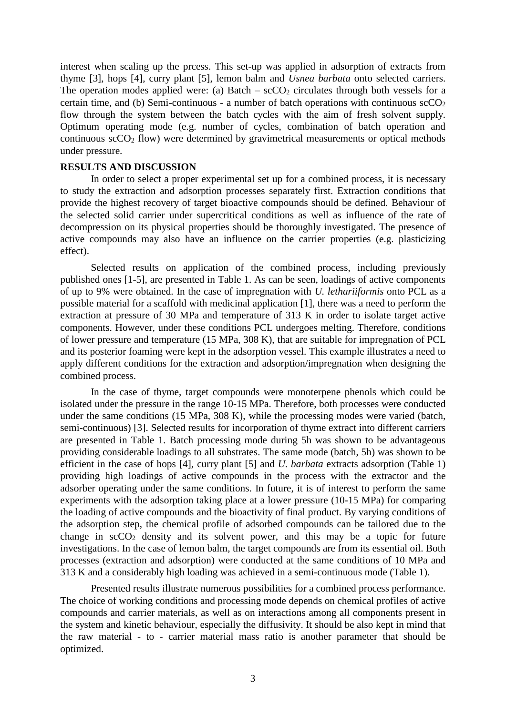interest when scaling up the prcess. This set-up was applied in adsorption of extracts from thyme [3], hops [4], curry plant [5], lemon balm and *Usnea barbata* onto selected carriers. The operation modes applied were: (a) Batch –  $\sec O_2$  circulates through both vessels for a certain time, and (b) Semi-continuous - a number of batch operations with continuous  $\sec O_2$ flow through the system between the batch cycles with the aim of fresh solvent supply. Optimum operating mode (e.g. number of cycles, combination of batch operation and continuous  $\sec O_2$  flow) were determined by gravimetrical measurements or optical methods under pressure.

## **RESULTS AND DISCUSSION**

In order to select a proper experimental set up for a combined process, it is necessary to study the extraction and adsorption processes separately first. Extraction conditions that provide the highest recovery of target bioactive compounds should be defined. Behaviour of the selected solid carrier under supercritical conditions as well as influence of the rate of decompression on its physical properties should be thoroughly investigated. The presence of active compounds may also have an influence on the carrier properties (e.g. plasticizing effect).

Selected results on application of the combined process, including previously published ones [1-5], are presented in Table 1. As can be seen, loadings of active components of up to 9% were obtained. In the case of impregnation with *U. lethariiformis* onto PCL as a possible material for a scaffold with medicinal application [1], there was a need to perform the extraction at pressure of 30 MPa and temperature of 313 K in order to isolate target active components. However, under these conditions PCL undergoes melting. Therefore, conditions of lower pressure and temperature (15 MPa, 308 K), that are suitable for impregnation of PCL and its posterior foaming were kept in the adsorption vessel. This example illustrates a need to apply different conditions for the extraction and adsorption/impregnation when designing the combined process.

In the case of thyme, target compounds were monoterpene phenols which could be isolated under the pressure in the range 10-15 MPa. Therefore, both processes were conducted under the same conditions (15 MPa, 308 K), while the processing modes were varied (batch, semi-continuous) [3]. Selected results for incorporation of thyme extract into different carriers are presented in Table 1. Batch processing mode during 5h was shown to be advantageous providing considerable loadings to all substrates. The same mode (batch, 5h) was shown to be efficient in the case of hops [4], curry plant [5] and *U. barbata* extracts adsorption (Table 1) providing high loadings of active compounds in the process with the extractor and the adsorber operating under the same conditions. In future, it is of interest to perform the same experiments with the adsorption taking place at a lower pressure (10-15 MPa) for comparing the loading of active compounds and the bioactivity of final product. By varying conditions of the adsorption step, the chemical profile of adsorbed compounds can be tailored due to the change in  $\sec 0_2$  density and its solvent power, and this may be a topic for future investigations. In the case of lemon balm, the target compounds are from its essential oil. Both processes (extraction and adsorption) were conducted at the same conditions of 10 MPa and 313 K and a considerably high loading was achieved in a semi-continuous mode (Table 1).

Presented results illustrate numerous possibilities for a combined process performance. The choice of working conditions and processing mode depends on chemical profiles of active compounds and carrier materials, as well as on interactions among all components present in the system and kinetic behaviour, especially the diffusivity. It should be also kept in mind that the raw material - to - carrier material mass ratio is another parameter that should be optimized.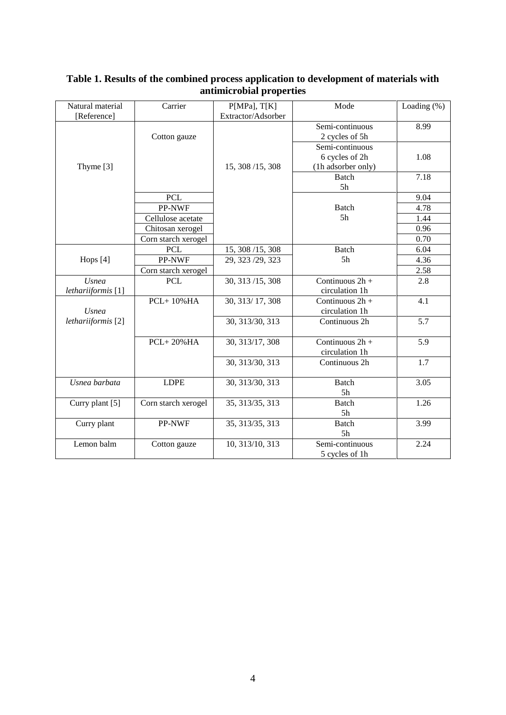| Natural material              | Carrier             | P[MPa], T[K]       | Mode               | Loading $(\%)$ |
|-------------------------------|---------------------|--------------------|--------------------|----------------|
| [Reference]                   |                     | Extractor/Adsorber |                    |                |
|                               |                     |                    | Semi-continuous    | 8.99           |
|                               | Cotton gauze        |                    | 2 cycles of 5h     |                |
|                               |                     |                    | Semi-continuous    |                |
|                               |                     |                    | 6 cycles of 2h     | 1.08           |
| Thyme [3]                     |                     | 15, 308/15, 308    | (1h adsorber only) |                |
|                               |                     |                    | Batch              | 7.18           |
|                               |                     |                    | 5h                 |                |
|                               | <b>PCL</b>          |                    |                    | 9.04           |
|                               | PP-NWF              |                    | Batch              | 4.78           |
|                               | Cellulose acetate   |                    | 5 <sub>h</sub>     | 1.44           |
|                               | Chitosan xerogel    |                    |                    | 0.96           |
|                               | Corn starch xerogel |                    |                    | 0.70           |
|                               | <b>PCL</b>          | 15, 308/15, 308    | <b>Batch</b>       | 6.04           |
| Hops [4]                      | PP-NWF              | 29, 323 / 29, 323  | 5 <sub>h</sub>     | 4.36           |
|                               | Corn starch xerogel |                    |                    | 2.58           |
| <b>Usnea</b>                  | <b>PCL</b>          | 30, 313/15, 308    | Continuous 2h +    | 2.8            |
| lethariiformis <sup>[1]</sup> |                     |                    | circulation 1h     |                |
|                               | <b>PCL+10%HA</b>    | 30, 313/17, 308    | Continuous 2h +    | 4.1            |
| <b>Usnea</b>                  |                     |                    | circulation 1h     |                |
| lethariiformis <sup>[2]</sup> |                     | 30, 313/30, 313    | Continuous 2h      | 5.7            |
|                               |                     |                    |                    |                |
|                               | $PCL+20\%HA$        | 30, 313/17, 308    | Continuous $2h +$  | 5.9            |
|                               |                     |                    | circulation 1h     |                |
|                               |                     | 30, 313/30, 313    | Continuous 2h      | 1.7            |
|                               |                     |                    |                    |                |
| Usnea barbata                 | <b>LDPE</b>         | 30, 313/30, 313    | <b>Batch</b>       | 3.05           |
|                               |                     |                    | 5h                 |                |
| Curry plant [5]               | Corn starch xerogel | 35, 313/35, 313    | <b>Batch</b>       | 1.26           |
|                               |                     |                    | 5h                 |                |
| Curry plant                   | PP-NWF              | 35, 313/35, 313    | <b>Batch</b>       | 3.99           |
|                               |                     |                    | 5h                 |                |
| Lemon balm                    | Cotton gauze        | 10, 313/10, 313    | Semi-continuous    | 2.24           |
|                               |                     |                    | 5 cycles of 1h     |                |

# **Table 1. Results of the combined process application to development of materials with antimicrobial properties**